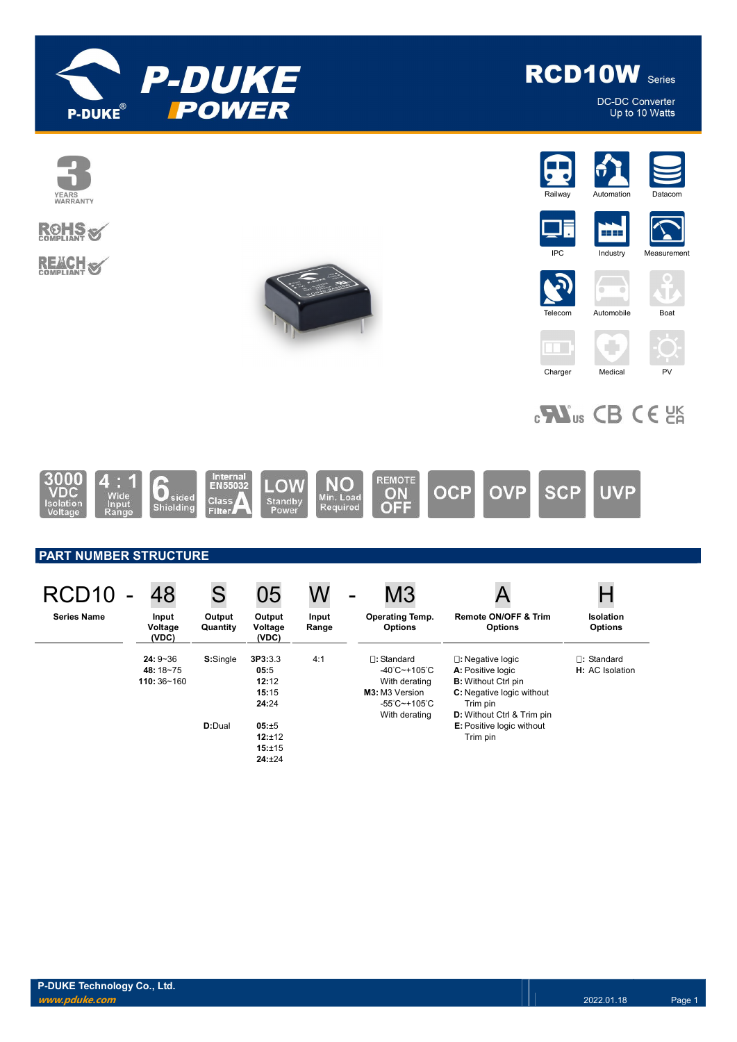



**DC-DC Converter** Up to 10 Watts

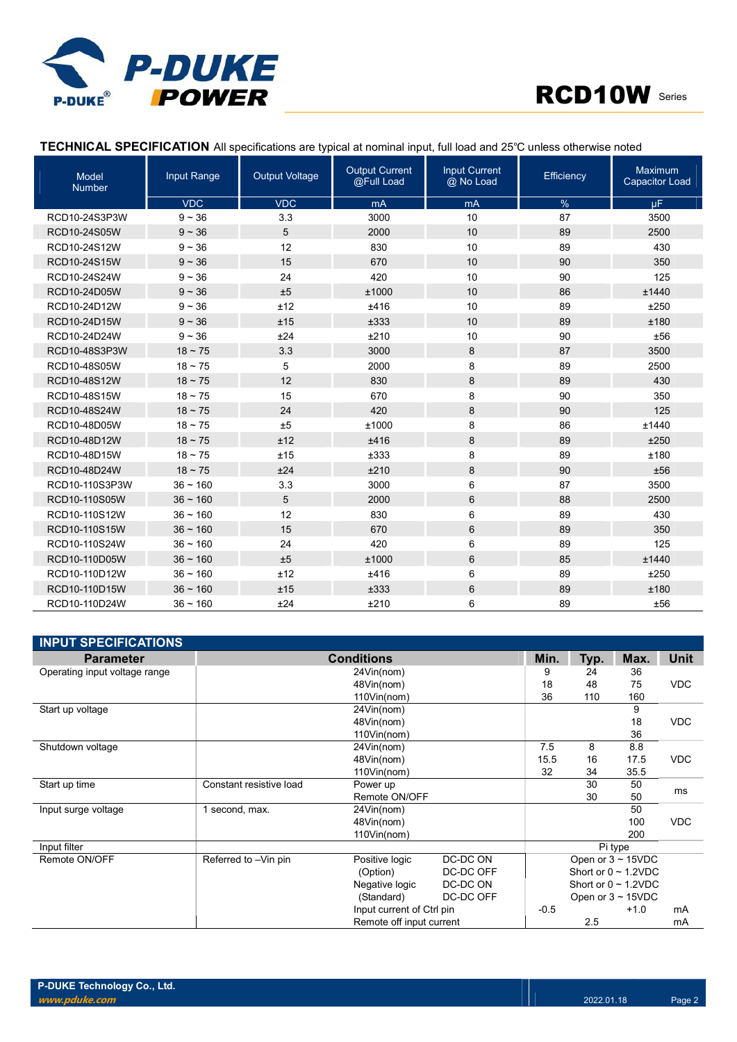



#### TECHNICAL SPECIFICATION All specifications are typical at nominal input, full load and 25℃ unless otherwise noted

| Model<br><b>Number</b> | Input Range  | <b>Output Voltage</b> | <b>Output Current</b><br>@Full Load | <b>Input Current</b><br>@ No Load | Efficiency | Maximum<br><b>Capacitor Load</b> |
|------------------------|--------------|-----------------------|-------------------------------------|-----------------------------------|------------|----------------------------------|
|                        | <b>VDC</b>   | <b>VDC</b>            | mA                                  | mA                                | %          | μF                               |
| RCD10-24S3P3W          | $9 - 36$     | 3.3                   | 3000                                | 10                                | 87         | 3500                             |
| RCD10-24S05W           | $9 - 36$     | 5                     | 2000                                | 10                                | 89         | 2500                             |
| RCD10-24S12W           | $9 - 36$     | 12                    | 830                                 | 10                                | 89         | 430                              |
| RCD10-24S15W           | $9 - 36$     | 15                    | 670                                 | 10                                | 90         | 350                              |
| RCD10-24S24W           | $9 - 36$     | 24                    | 420                                 | 10                                | 90         | 125                              |
| RCD10-24D05W           | $9 - 36$     | ±5                    | ±1000                               | 10                                | 86         | ±1440                            |
| RCD10-24D12W           | $9 - 36$     | ±12                   | ±416                                | 10                                | 89         | ±250                             |
| RCD10-24D15W           | $9 - 36$     | ±15                   | ±333                                | 10                                | 89         | ±180                             |
| RCD10-24D24W           | $9 - 36$     | ±24                   | ±210                                | 10                                | 90         | ±56                              |
| RCD10-48S3P3W          | $18 - 75$    | 3.3                   | 3000                                | 8                                 | 87         | 3500                             |
| RCD10-48S05W           | $18 \sim 75$ | 5                     | 2000                                | 8                                 | 89         | 2500                             |
| RCD10-48S12W           | $18 - 75$    | 12                    | 830                                 | 8                                 | 89         | 430                              |
| RCD10-48S15W           | $18 - 75$    | 15                    | 670                                 | 8                                 | 90         | 350                              |
| RCD10-48S24W           | $18 \sim 75$ | 24                    | 420                                 | 8                                 | 90         | 125                              |
| RCD10-48D05W           | $18 \sim 75$ | ±5                    | ±1000                               | 8                                 | 86         | ±1440                            |
| RCD10-48D12W           | $18 \sim 75$ | ±12                   | ±416                                | 8                                 | 89         | ±250                             |
| RCD10-48D15W           | $18 - 75$    | ±15                   | ±333                                | 8                                 | 89         | ±180                             |
| RCD10-48D24W           | $18 - 75$    | ±24                   | ±210                                | 8                                 | 90         | ±56                              |
| RCD10-110S3P3W         | $36 - 160$   | 3.3                   | 3000                                | 6                                 | 87         | 3500                             |
| RCD10-110S05W          | $36 - 160$   | 5                     | 2000                                | 6                                 | 88         | 2500                             |
| RCD10-110S12W          | $36 - 160$   | 12                    | 830                                 | 6                                 | 89         | 430                              |
| RCD10-110S15W          | $36 - 160$   | 15                    | 670                                 | 6                                 | 89         | 350                              |
| RCD10-110S24W          | $36 - 160$   | 24                    | 420                                 | 6                                 | 89         | 125                              |
| RCD10-110D05W          | $36 - 160$   | ±5                    | ±1000                               | 6                                 | 85         | ±1440                            |
| RCD10-110D12W          | $36 - 160$   | ±12                   | ±416                                | 6                                 | 89         | ±250                             |
| RCD10-110D15W          | $36 - 160$   | ±15                   | ±333                                | 6                                 | 89         | ±180                             |
| RCD10-110D24W          | $36 - 160$   | ±24                   | ±210                                | 6                                 | 89         | ±56                              |

| <b>INPUT SPECIFICATIONS</b>   |                         |                           |           |         |      |                           |            |
|-------------------------------|-------------------------|---------------------------|-----------|---------|------|---------------------------|------------|
| <b>Parameter</b>              |                         | <b>Conditions</b>         |           | Min.    | Typ. | Max.                      | Unit       |
| Operating input voltage range |                         | 24Vin(nom)                |           | 9       | 24   | 36                        |            |
|                               |                         | 48Vin(nom)                |           | 18      | 48   | 75                        | <b>VDC</b> |
|                               |                         | 110Vin(nom)               |           | 36      | 110  | 160                       |            |
| Start up voltage              | 24Vin(nom)              |                           |           |         |      | 9                         |            |
|                               |                         | 48Vin(nom)                |           |         |      | 18                        | <b>VDC</b> |
|                               |                         | 110Vin(nom)               |           |         |      | 36                        |            |
| Shutdown voltage              |                         | 24Vin(nom)                |           | 7.5     | 8    | 8.8                       |            |
|                               |                         | 48Vin(nom)                |           | 15.5    | 16   | 17.5                      | <b>VDC</b> |
|                               |                         | $110$ Vin(nom)            |           | 32      | 34   | 35.5                      |            |
| Start up time                 | Constant resistive load | Power up                  |           |         | 30   | 50                        | ms         |
|                               |                         | Remote ON/OFF             |           |         | 30   | 50                        |            |
| Input surge voltage           | 1 second, max.          | 24Vin(nom)                |           |         |      | 50                        |            |
|                               |                         | 48Vin(nom)                |           |         |      | 100                       | <b>VDC</b> |
|                               |                         | 110Vin(nom)               |           |         |      | 200                       |            |
| Input filter                  |                         |                           |           | Pi type |      |                           |            |
| Remote ON/OFF                 | Referred to -Vin pin    | Positive logic            | DC-DC ON  |         |      | Open or $3 \sim 15$ VDC   |            |
|                               |                         | (Option)                  | DC-DC OFF |         |      | Short or $0 \sim 1.2$ VDC |            |
|                               |                         | Negative logic            | DC-DC ON  |         |      | Short or $0 \sim 1.2$ VDC |            |
|                               |                         | (Standard)                | DC-DC OFF |         |      | Open or $3 \sim 15$ VDC   |            |
|                               |                         | Input current of Ctrl pin |           | $-0.5$  |      | $+1.0$                    | mA         |
|                               |                         | Remote off input current  |           |         | 2.5  |                           | mA         |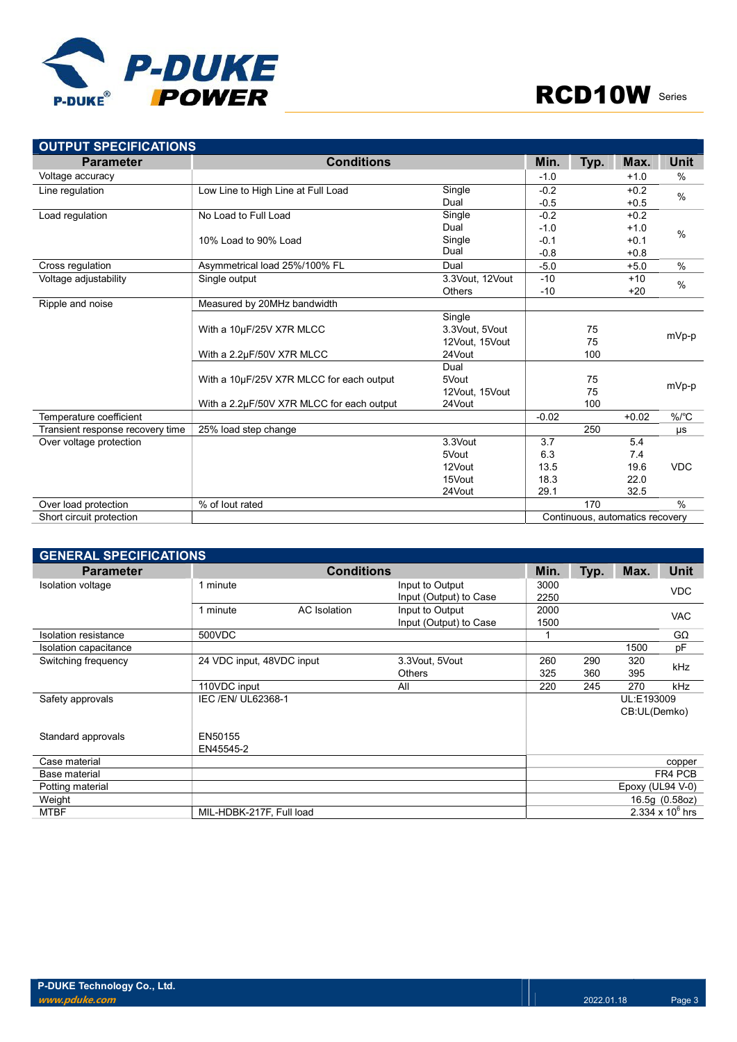

| <b>OUTPUT SPECIFICATIONS</b>     |                                           |                 |         |      |                                 |               |  |
|----------------------------------|-------------------------------------------|-----------------|---------|------|---------------------------------|---------------|--|
| <b>Parameter</b>                 | <b>Conditions</b>                         |                 | Min.    | Typ. | Max.                            | Unit          |  |
| Voltage accuracy                 |                                           |                 | $-1.0$  |      | $+1.0$                          | %             |  |
| Line regulation                  | Low Line to High Line at Full Load        | Single          | $-0.2$  |      | $+0.2$                          | $\frac{0}{0}$ |  |
|                                  |                                           | Dual            | $-0.5$  |      | $+0.5$                          |               |  |
| Load regulation                  | No Load to Full Load                      | Single          | $-0.2$  |      | $+0.2$                          |               |  |
|                                  |                                           | Dual            | $-1.0$  |      | $+1.0$                          | $\frac{0}{0}$ |  |
|                                  | 10% Load to 90% Load                      | Single          | $-0.1$  |      | $+0.1$                          |               |  |
|                                  |                                           | Dual            | $-0.8$  |      | $+0.8$                          |               |  |
| Cross regulation                 | Asymmetrical load 25%/100% FL             | Dual            | $-5.0$  |      | $+5.0$                          | $\frac{0}{0}$ |  |
| Voltage adjustability            | Single output                             | 3.3Vout, 12Vout | $-10$   |      | $+10$                           | $\%$          |  |
|                                  |                                           | <b>Others</b>   | $-10$   |      | $+20$                           |               |  |
| Ripple and noise                 | Measured by 20MHz bandwidth               |                 |         |      |                                 |               |  |
|                                  |                                           | Single          |         |      |                                 |               |  |
|                                  | With a 10µF/25V X7R MLCC                  | 3.3Vout, 5Vout  |         | 75   |                                 | mVp-p         |  |
|                                  |                                           | 12Vout, 15Vout  |         | 75   |                                 |               |  |
|                                  | With a 2.2µF/50V X7R MLCC                 | 24Vout          |         | 100  |                                 |               |  |
|                                  |                                           | Dual            |         |      |                                 |               |  |
|                                  | With a 10µF/25V X7R MLCC for each output  | 5Vout           |         | 75   |                                 | mVp-p         |  |
|                                  |                                           | 12Vout, 15Vout  |         | 75   |                                 |               |  |
|                                  | With a 2.2µF/50V X7R MLCC for each output | 24Vout          |         | 100  |                                 |               |  |
| Temperature coefficient          |                                           |                 | $-0.02$ |      | $+0.02$                         | $\%$ /°C      |  |
| Transient response recovery time | 25% load step change                      |                 |         | 250  |                                 | μs            |  |
| Over voltage protection          |                                           | 3.3Vout         | 3.7     |      | 5.4                             |               |  |
|                                  |                                           | 5Vout           | 6.3     |      | 7.4                             |               |  |
|                                  |                                           | 12Vout          | 13.5    |      | 19.6                            | <b>VDC</b>    |  |
|                                  |                                           | 15Vout          | 18.3    |      | 22.0                            |               |  |
|                                  |                                           | 24Vout          | 29.1    |      | 32.5                            |               |  |
| Over load protection             | % of lout rated                           |                 |         | 170  |                                 | $\frac{0}{0}$ |  |
| Short circuit protection         |                                           |                 |         |      | Continuous, automatics recovery |               |  |

| <b>GENERAL SPECIFICATIONS</b> |                           |                     |                        |      |      |                  |                         |  |
|-------------------------------|---------------------------|---------------------|------------------------|------|------|------------------|-------------------------|--|
| <b>Parameter</b>              |                           | Min.                | Typ.                   | Max. | Unit |                  |                         |  |
| Isolation voltage             | 1 minute                  |                     | Input to Output        | 3000 |      |                  | <b>VDC</b>              |  |
|                               |                           |                     | Input (Output) to Case | 2250 |      |                  |                         |  |
|                               | 1 minute                  | <b>AC</b> Isolation | Input to Output        | 2000 |      |                  | <b>VAC</b>              |  |
|                               |                           |                     | Input (Output) to Case | 1500 |      |                  |                         |  |
| Isolation resistance          | 500VDC                    |                     |                        |      |      |                  | GΩ                      |  |
| Isolation capacitance         |                           |                     |                        |      |      | 1500             | pF                      |  |
| Switching frequency           | 24 VDC input, 48VDC input |                     | 3.3Vout, 5Vout         | 260  | 290  | 320              | kHz                     |  |
|                               |                           |                     | <b>Others</b>          | 325  | 360  | 395              |                         |  |
|                               | 110VDC input              |                     | All                    | 220  | 245  | 270              | kHz                     |  |
| Safety approvals              | IEC /EN/ UL62368-1        |                     |                        |      |      | UL:E193009       |                         |  |
|                               |                           |                     |                        |      |      | CB:UL(Demko)     |                         |  |
|                               |                           |                     |                        |      |      |                  |                         |  |
| Standard approvals            | EN50155                   |                     |                        |      |      |                  |                         |  |
|                               | EN45545-2                 |                     |                        |      |      |                  |                         |  |
| Case material                 |                           |                     |                        |      |      |                  | copper                  |  |
| Base material                 |                           |                     |                        |      |      |                  | FR4 PCB                 |  |
| Potting material              |                           |                     |                        |      |      | Epoxy (UL94 V-0) |                         |  |
| Weight                        |                           |                     |                        |      |      |                  | 16.5g (0.58oz)          |  |
| <b>MTBF</b>                   | MIL-HDBK-217F, Full load  |                     |                        |      |      |                  | $2.334 \times 10^6$ hrs |  |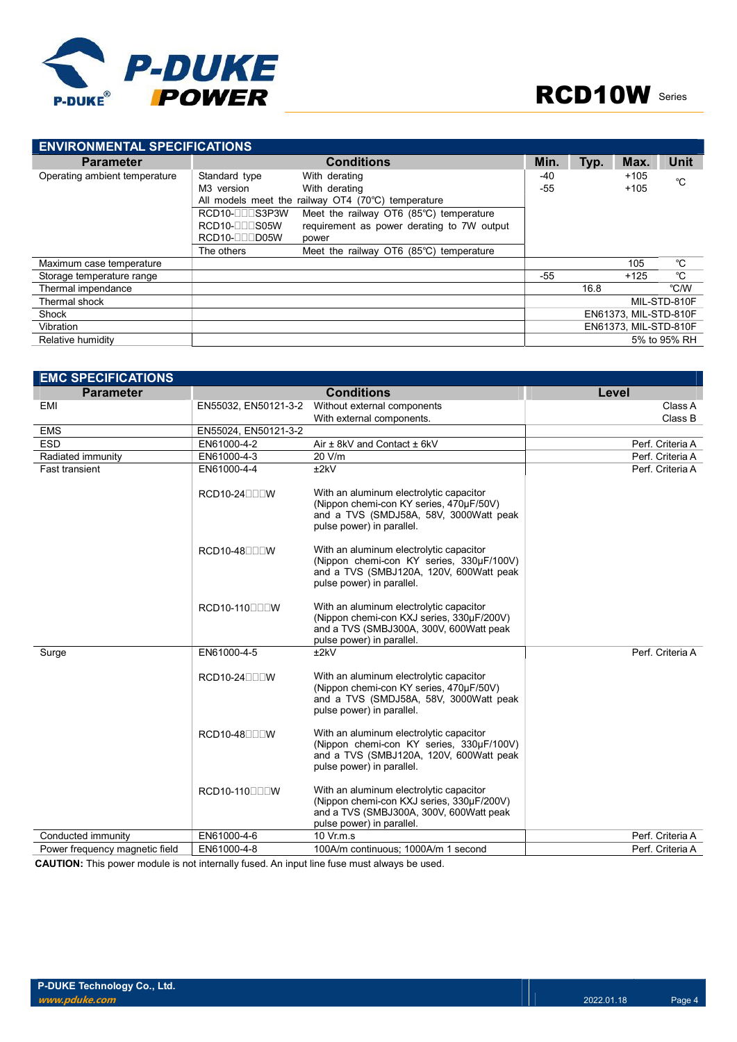

| <b>ENVIRONMENTAL SPECIFICATIONS</b> |                 |                                                                  |                       |      |                       |              |
|-------------------------------------|-----------------|------------------------------------------------------------------|-----------------------|------|-----------------------|--------------|
| <b>Parameter</b>                    |                 | <b>Conditions</b>                                                | Min.                  | Typ. | Max.                  | <b>Unit</b>  |
| Operating ambient temperature       | Standard type   | With derating                                                    | -40                   |      | $+105$                | °C           |
|                                     | M3 version      | With derating                                                    | -55                   |      | $+105$                |              |
|                                     |                 | All models meet the railway $O T4$ (70 $^{\circ}$ C) temperature |                       |      |                       |              |
|                                     | RCD10-000S3P3W  | Meet the railway OT6 (85°C) temperature                          |                       |      |                       |              |
|                                     | $RCD10-[]$ S05W | requirement as power derating to 7W output                       |                       |      |                       |              |
|                                     | RCD10-0005W     | power                                                            |                       |      |                       |              |
|                                     | The others      | Meet the railway OT6 (85°C) temperature                          |                       |      |                       |              |
| Maximum case temperature            |                 |                                                                  |                       |      | 105                   | °C           |
| Storage temperature range           |                 |                                                                  | -55                   |      | $+125$                | °C           |
| Thermal impendance                  |                 |                                                                  |                       | 16.8 |                       | °C/W         |
| Thermal shock                       |                 |                                                                  |                       |      |                       | MIL-STD-810F |
| Shock                               |                 |                                                                  |                       |      | EN61373, MIL-STD-810F |              |
| Vibration                           |                 |                                                                  | EN61373, MIL-STD-810F |      |                       |              |
| Relative humidity                   |                 |                                                                  |                       |      |                       | 5% to 95% RH |

| <b>EMC SPECIFICATIONS</b>      |                              |                                                                                                                                                              |                  |
|--------------------------------|------------------------------|--------------------------------------------------------------------------------------------------------------------------------------------------------------|------------------|
| <b>Parameter</b>               |                              | <b>Conditions</b>                                                                                                                                            | Level            |
| EMI                            | EN55032, EN50121-3-2         | Without external components                                                                                                                                  | Class A          |
|                                |                              | With external components.                                                                                                                                    | Class B          |
| <b>EMS</b>                     | EN55024, EN50121-3-2         |                                                                                                                                                              |                  |
| <b>ESD</b>                     | EN61000-4-2                  | Air ± 8kV and Contact ± 6kV                                                                                                                                  | Perf. Criteria A |
| Radiated immunity              | EN61000-4-3                  | 20 V/m                                                                                                                                                       | Perf. Criteria A |
| <b>Fast transient</b>          | EN61000-4-4                  | ±2kV                                                                                                                                                         | Perf. Criteria A |
|                                | $RCD10-24$                   | With an aluminum electrolytic capacitor<br>(Nippon chemi-con KY series, 470µF/50V)<br>and a TVS (SMDJ58A, 58V, 3000Watt peak<br>pulse power) in parallel.    |                  |
|                                | $RCD10-48$ $\neg$ T $\neg$ W | With an aluminum electrolytic capacitor<br>(Nippon chemi-con KY series, 330µF/100V)<br>and a TVS (SMBJ120A, 120V, 600Watt peak<br>pulse power) in parallel.  |                  |
|                                | RCD10-110000W                | With an aluminum electrolytic capacitor<br>(Nippon chemi-con KXJ series, 330µF/200V)<br>and a TVS (SMBJ300A, 300V, 600Watt peak<br>pulse power) in parallel. |                  |
| Surge                          | EN61000-4-5                  | ±2kV                                                                                                                                                         | Perf. Criteria A |
|                                | $RCD10-24$                   | With an aluminum electrolytic capacitor<br>(Nippon chemi-con KY series, 470µF/50V)<br>and a TVS (SMDJ58A, 58V, 3000Watt peak<br>pulse power) in parallel.    |                  |
|                                | $RCD10-48$ $\neg$ T $\neg$ W | With an aluminum electrolytic capacitor<br>(Nippon chemi-con KY series, 330µF/100V)<br>and a TVS (SMBJ120A, 120V, 600Watt peak<br>pulse power) in parallel.  |                  |
|                                | RCD10-110000W                | With an aluminum electrolytic capacitor<br>(Nippon chemi-con KXJ series, 330µF/200V)<br>and a TVS (SMBJ300A, 300V, 600Watt peak<br>pulse power) in parallel. |                  |
| Conducted immunity             | EN61000-4-6                  | 10 Vr.m.s                                                                                                                                                    | Perf. Criteria A |
| Power frequency magnetic field | EN61000-4-8                  | 100A/m continuous; 1000A/m 1 second                                                                                                                          | Perf. Criteria A |

CAUTION: This power module is not internally fused. An input line fuse must always be used.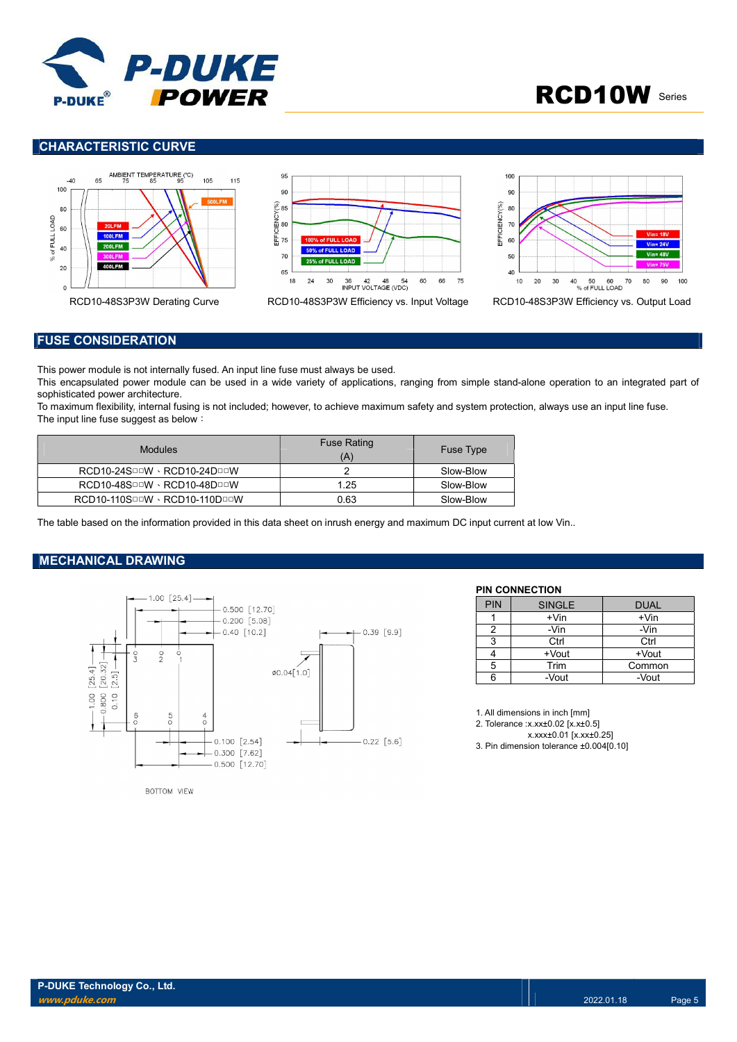

### CHARACTERISTIC CURVE







#### FUSE CONSIDERATION

This power module is not internally fused. An input line fuse must always be used.

This encapsulated power module can be used in a wide variety of applications, ranging from simple stand-alone operation to an integrated part of sophisticated power architecture.

To maximum flexibility, internal fusing is not included; however, to achieve maximum safety and system protection, always use an input line fuse. The input line fuse suggest as below:

| <b>Modules</b>                       | <b>Fuse Rating</b><br>(A | <b>Fuse Type</b> |
|--------------------------------------|--------------------------|------------------|
| $RCD10-24S$ DDV · $RCD10-24D$ DDV    |                          | Slow-Blow        |
| $RCD10-48S$ DDV · $RCD10-48D$ DDV    | 1.25                     | Slow-Blow        |
| $RCD10-110S$ DDV · $RCD10-110D$ DDDV | 0.63                     | Slow-Blow        |

The table based on the information provided in this data sheet on inrush energy and maximum DC input current at low Vin..

#### MECHANICAL DRAWING



#### PIN CONNECTION

| <b>PIN</b> | <b>SINGLE</b> | <b>DUAL</b> |
|------------|---------------|-------------|
|            | $+V$ in       | $+V$ in     |
| 2          | -Vin          | -Vin        |
| 3          | Ctrl          | Ctrl        |
|            | +Vout         | +Vout       |
| 5          | Trim          | Common      |
| հ          | -Vout         | -Vout       |

1. All dimensions in inch [mm]

2. Tolerance :x.xx±0.02 [x.x±0.5]

x.xxx±0.01 [x.xx±0.25] 3. Pin dimension tolerance ±0.004[0.10]

BOTTOM VIEW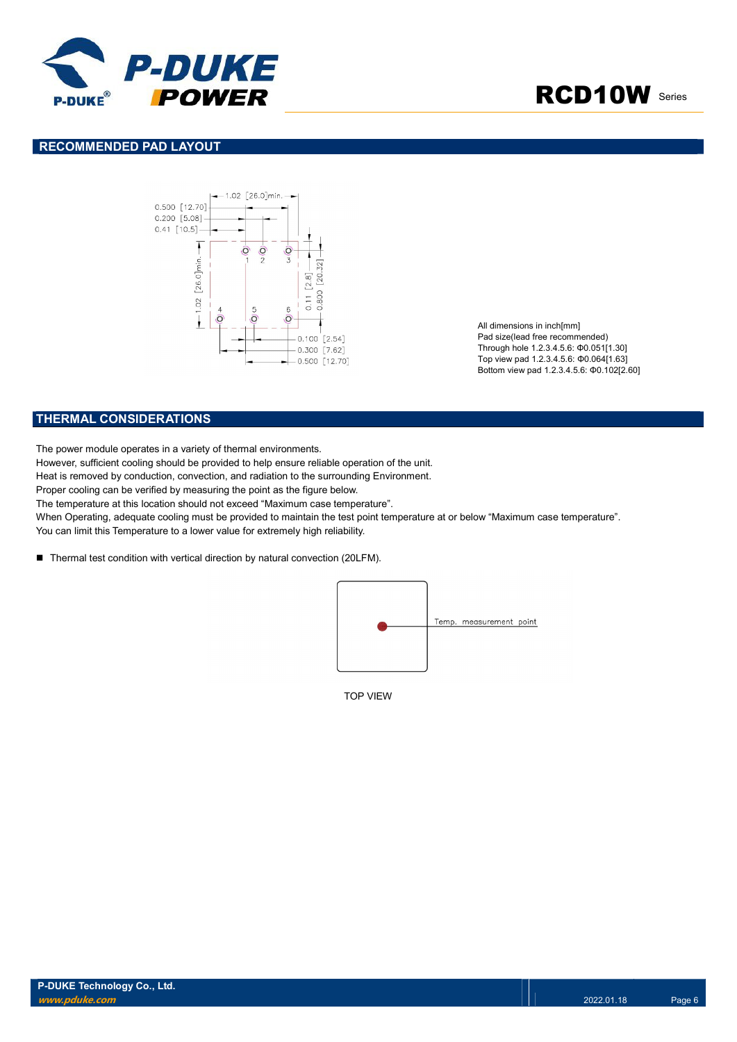

### RECOMMENDED PAD LAYOUT



All dimensions in inch[mm] Pad size(lead free recommended) Through hole 1.2.3.4.5.6: Φ0.051[1.30] Top view pad 1.2.3.4.5.6: Φ0.064[1.63] Bottom view pad 1.2.3.4.5.6: Φ0.102[2.60]

#### THERMAL CONSIDERATIONS

The power module operates in a variety of thermal environments.

However, sufficient cooling should be provided to help ensure reliable operation of the unit.

Heat is removed by conduction, convection, and radiation to the surrounding Environment.

Proper cooling can be verified by measuring the point as the figure below.

The temperature at this location should not exceed "Maximum case temperature".

When Operating, adequate cooling must be provided to maintain the test point temperature at or below "Maximum case temperature".

You can limit this Temperature to a lower value for extremely high reliability.

■ Thermal test condition with vertical direction by natural convection (20LFM).



TOP VIEW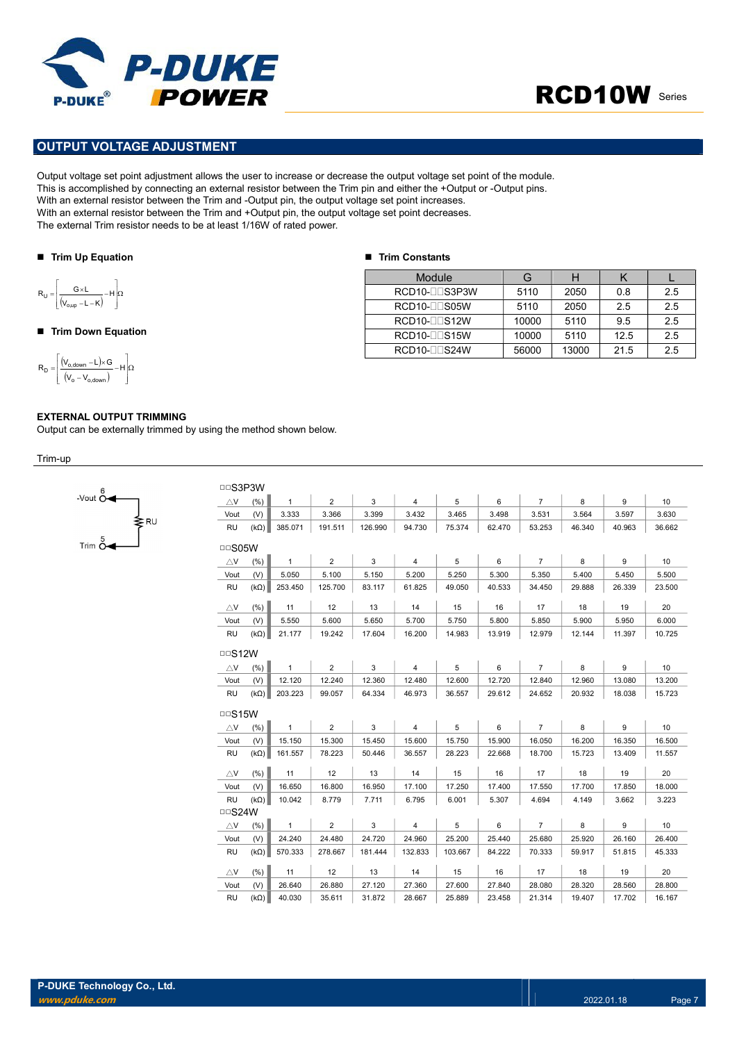

### OUTPUT VOLTAGE ADJUSTMENT

Output voltage set point adjustment allows the user to increase or decrease the output voltage set point of the module. This is accomplished by connecting an external resistor between the Trim pin and either the +Output or -Output pins. With an external resistor between the Trim and -Output pin, the output voltage set point increases. With an external resistor between the Trim and +Output pin, the output voltage set point decreases. The external Trim resistor needs to be at least 1/16W of rated power. **POWER**<br>
POWER<br>
PUIT VOLTAGE ADJUSTMENT<br>
IT UNCERNATION CONTRACT ADJUSTMENT<br>
IT UNCERNATION CONTRACT AND CONTRACT AND CONTRACT AND CONTRACT AND CONTRACT AND CONTRACT AND A SECOND USING A SCONDITION OF THE THIS ARE CONTRAC POWER<br>
PUT VOLTAGE ADJUSTMENT<br>
It voltage set point digitsment allows the user to increase or decrease the output voltage set point of<br>
a accomplished by connecting an external resistor between the Trim pin and either the **PUT VOLTAGE ADJUSTMENT**<br>
PUT VOLTAGE ADJUSTMENT<br>
IT Voltage set point dijustment allows the user to increase or decrease the output voltage set point of the<br>
a accomplished by connecting an external resistor between the

■ Trim Constants

#### ■ Trim Up Equation

$$
R_{U} = \left[\frac{G \times L}{\left(V_{o,up} - L - K\right)} - H\right]\Omega
$$

#### ■ Trim Down Equation

$$
R_D=\!\!\left[\!\!\begin{array}{c} \displaystyle \left(\!V_{o,\text{down}}\!-\!L\!\right)\!\!\times\!\! G\\ \displaystyle \left(\!V_o-V_{o,\text{down}}\!\right)\!-\!H\!\right]\!\!\Omega\end{array}\!\!\right]
$$

#### EXTERNAL OUTPUT TRIMMING

Output can be externally trimmed by using the method shown below.

Trim-up



| Module         |       | Н     |      |     |
|----------------|-------|-------|------|-----|
| RCD10-LLS3P3W  | 5110  | 2050  | 0.8  | 2.5 |
| RCD10-ODS05W   | 5110  | 2050  | 2.5  | 2.5 |
| RCD10-00S12W   | 10000 | 5110  | 9.5  | 2.5 |
| RCD10-LLS15W   | 10000 | 5110  | 12.5 | 2.5 |
| $RCD10-TTS24W$ | 56000 | 13000 | 21.5 | 2.5 |

| □□S3P3W       |             |              |                |         |                |         |        |                |        |        |        |
|---------------|-------------|--------------|----------------|---------|----------------|---------|--------|----------------|--------|--------|--------|
| AV.           | (% )        | $\mathbf{1}$ | $\overline{2}$ | 3       | $\overline{4}$ | 5       | 6      | $\overline{7}$ | 8      | 9      | 10     |
| Vout          | (V)         | 3.333        | 3.366          | 3.399   | 3.432          | 3.465   | 3.498  | 3.531          | 3.564  | 3.597  | 3.630  |
| <b>RU</b>     | $(k\Omega)$ | 385.071      | 191.511        | 126.990 | 94.730         | 75.374  | 62.470 | 53.253         | 46.340 | 40.963 | 36.662 |
| $\Box$ S05W   |             |              |                |         |                |         |        |                |        |        |        |
| $\triangle$ V | (% )        | $\mathbf{1}$ | $\overline{2}$ | 3       | $\overline{4}$ | 5       | 6      | $\overline{7}$ | 8      | 9      | 10     |
| Vout          | (V)         | 5.050        | 5.100          | 5.150   | 5.200          | 5.250   | 5.300  | 5.350          | 5.400  | 5.450  | 5.500  |
| <b>RU</b>     | $(k\Omega)$ | 253.450      | 125.700        | 83.117  | 61.825         | 49.050  | 40.533 | 34.450         | 29.888 | 26.339 | 23.500 |
| $\triangle$ V | (% )        | 11           | 12             | 13      | 14             | 15      | 16     | 17             | 18     | 19     | 20     |
| Vout          | (V)         | 5.550        | 5.600          | 5.650   | 5.700          | 5.750   | 5.800  | 5.850          | 5.900  | 5.950  | 6.000  |
| RU            | $(k\Omega)$ | 21.177       | 19.242         | 17.604  | 16.200         | 14.983  | 13.919 | 12.979         | 12.144 | 11.397 | 10.725 |
| $\Box$ S12W   |             |              |                |         |                |         |        |                |        |        |        |
| $\triangle$ V | (% )        | $\mathbf{1}$ | $\overline{2}$ | 3       | $\overline{4}$ | 5       | 6      | $\overline{7}$ | 8      | 9      | 10     |
| Vout          | (V)         | 12.120       | 12.240         | 12.360  | 12.480         | 12.600  | 12.720 | 12.840         | 12.960 | 13.080 | 13.200 |
| RU            | $(k\Omega)$ | 203.223      | 99.057         | 64.334  | 46.973         | 36.557  | 29.612 | 24.652         | 20.932 | 18.038 | 15.723 |
| $\Box$ S15W   |             |              |                |         |                |         |        |                |        |        |        |
| $\triangle$ V | (% )        | $\mathbf{1}$ | $\overline{2}$ | 3       | $\overline{4}$ | 5       | 6      | $\overline{7}$ | 8      | 9      | 10     |
| Vout          | (V)         | 15.150       | 15.300         | 15.450  | 15.600         | 15.750  | 15.900 | 16.050         | 16.200 | 16.350 | 16.500 |
| <b>RU</b>     | $(k\Omega)$ | 161.557      | 78.223         | 50.446  | 36.557         | 28.223  | 22.668 | 18.700         | 15.723 | 13.409 | 11.557 |
| $\triangle$ V | (% )        | 11           | 12             | 13      | 14             | 15      | 16     | 17             | 18     | 19     | 20     |
| Vout          | (V)         | 16.650       | 16.800         | 16.950  | 17.100         | 17.250  | 17.400 | 17.550         | 17.700 | 17.850 | 18.000 |
| <b>RU</b>     | $(k\Omega)$ | 10.042       | 8.779          | 7.711   | 6.795          | 6.001   | 5.307  | 4.694          | 4.149  | 3.662  | 3.223  |
| $\Box$ S24W   |             |              |                |         |                |         |        |                |        |        |        |
| $\triangle$ V | (% )        | $\mathbf{1}$ | $\overline{2}$ | 3       | $\overline{4}$ | 5       | 6      | $\overline{7}$ | 8      | 9      | 10     |
| Vout          | (V)         | 24.240       | 24.480         | 24.720  | 24.960         | 25.200  | 25.440 | 25.680         | 25.920 | 26.160 | 26.400 |
| <b>RU</b>     | $(k\Omega)$ | 570.333      | 278.667        | 181.444 | 132.833        | 103.667 | 84.222 | 70.333         | 59.917 | 51.815 | 45.333 |
| $\triangle$ V | (% )        | 11           | 12             | 13      | 14             | 15      | 16     | 17             | 18     | 19     | 20     |
| Vout          | (V)         | 26.640       | 26.880         | 27.120  | 27.360         | 27.600  | 27.840 | 28.080         | 28.320 | 28.560 | 28.800 |
| <b>RU</b>     | $(k\Omega)$ | 40.030       | 35.611         | 31.872  | 28.667         | 25.889  | 23.458 | 21.314         | 19.407 | 17.702 | 16.167 |